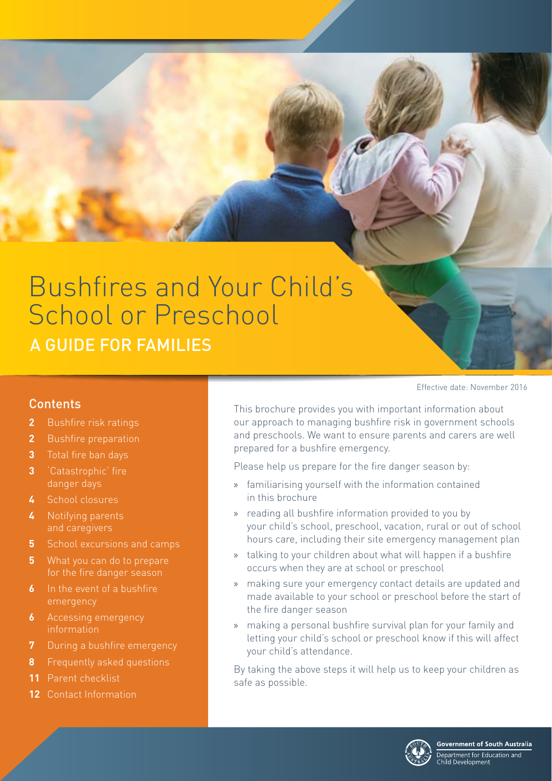# A GUIDE FOR FAMILIES Bushfires and Your Child's School or Preschool

#### Contents

- **2** [Bushfire risk ratings](#page-1-0)
- **2** [Bushfire preparation](#page-1-0)
- **3** [Total fire ban days](#page-2-0)
- **3** ['Catastrophic' fire](#page-2-0)  [danger days](#page-2-0)
- **4** [School closures](#page-3-0)
- **4** [Notifying parents](#page-3-0)  [and caregivers](#page-3-0)
- **5** [School excursions and camps](#page-4-0)
- **5** What you can do to prepare [for the fire danger season](#page-4-0)
- **6** In the event of a bushfire [emergency](#page-5-0)
- **6** Accessing emergency [information](#page-5-0)
- **7** [During a bushfire emergency](#page-6-0)
- **8** [Frequently asked questions](#page-7-0)
- **11** [Parent checklist](#page-10-0)
- **12** [Contact Information](#page-11-0)

Effective date: November 2016

This brochure provides you with important information about our approach to managing bushfire risk in government schools and preschools. We want to ensure parents and carers are well prepared for a bushfire emergency.

Please help us prepare for the fire danger season by:

- » familiarising yourself with the information contained in this brochure
- » reading all bushfire information provided to you by your child's school, preschool, vacation, rural or out of school hours care, including their site emergency management plan
- » talking to your children about what will happen if a bushfire occurs when they are at school or preschool
- » making sure your emergency contact details are updated and made available to your school or preschool before the start of the fire danger season
- » making a personal bushfire survival plan for your family and letting your child's school or preschool know if this will affect your child's attendance.

By taking the above steps it will help us to keep your children as safe as possible.

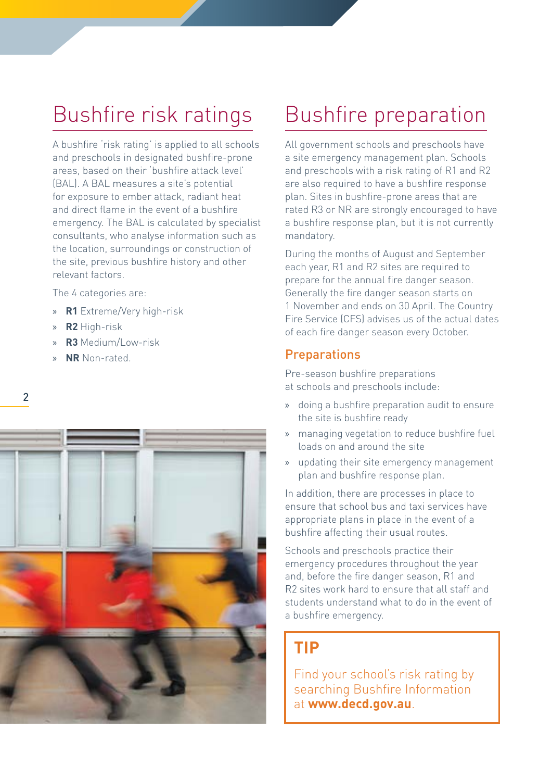# <span id="page-1-0"></span>Bushfire risk ratings

A bushfire 'risk rating' is applied to all schools and preschools in designated bushfire-prone areas, based on their 'bushfire attack level' (BAL). A BAL measures a site's potential for exposure to ember attack, radiant heat and direct flame in the event of a bushfire emergency. The BAL is calculated by specialist consultants, who analyse information such as the location, surroundings or construction of the site, previous bushfire history and other relevant factors.

The 4 categories are:

- » **R1** Extreme/Very high-risk
- » **R2** High-risk
- » **R3** Medium/Low-risk
- » **NR** Non-rated.



# Bushfire preparation

All government schools and preschools have a site emergency management plan. Schools and preschools with a risk rating of R1 and R2 are also required to have a bushfire response plan. Sites in bushfire-prone areas that are rated R3 or NR are strongly encouraged to have a bushfire response plan, but it is not currently mandatory.

During the months of August and September each year, R1 and R2 sites are required to prepare for the annual fire danger season. Generally the fire danger season starts on 1 November and ends on 30 April. The Country Fire Service (CFS) advises us of the actual dates of each fire danger season every October.

#### **Preparations**

Pre-season bushfire preparations at schools and preschools include:

- » doing a bushfire preparation audit to ensure the site is bushfire ready
- » managing vegetation to reduce bushfire fuel loads on and around the site
- » updating their site emergency management plan and bushfire response plan.

In addition, there are processes in place to ensure that school bus and taxi services have appropriate plans in place in the event of a bushfire affecting their usual routes.

Schools and preschools practice their emergency procedures throughout the year and, before the fire danger season, R1 and R2 sites work hard to ensure that all staff and students understand what to do in the event of a bushfire emergency.

### **TIP**

Find your school's risk rating by searching Bushfire Information at **[www.decd.gov.au](http://www.decd.sa.gov.au)**.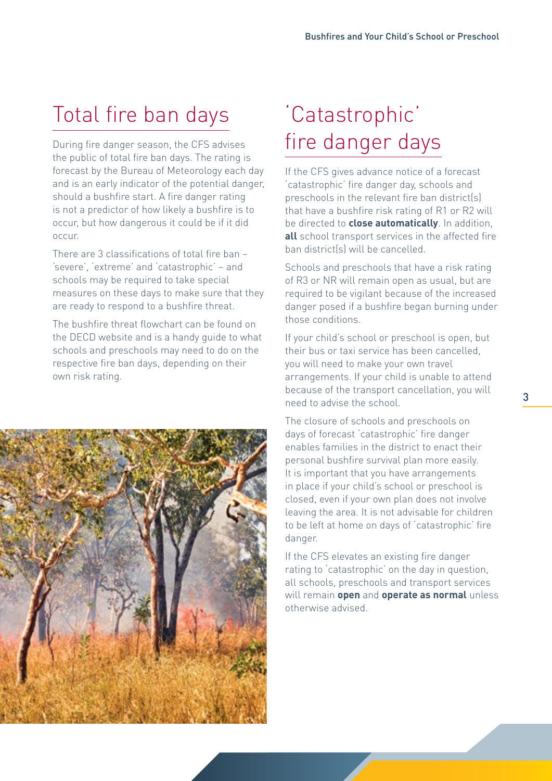# <span id="page-2-0"></span>Total fire ban days

During fire danger season, the CFS advises the public of total fire ban days. The rating is forecast by the Bureau of Meteorology each day and is an early indicator of the potential danger, should a bushfire start. A fire danger rating is not a predictor of how likely a bushfire is to occur, but how dangerous it could be if it did occur.

There are 3 classifications of total fire ban – 'severe', 'extreme' and 'catastrophic' – and schools may be required to take special measures on these days to make sure that they are ready to respond to a bushfire threat.

The bushfire threat flowchart can be found on the DECD website and is a handy guide to what schools and preschools may need to do on the respective fire ban days, depending on their own risk rating.



# 'Catastrophic' fire danger days

If the CFS gives advance notice of a forecast 'catastrophic' fire danger day, schools and preschools in the relevant fire ban district(s) that have a bushfire risk rating of R1 or R2 will be directed to **close automatically**. In addition, **all** school transport services in the affected fire ban district(s) will be cancelled.

Schools and preschools that have a risk rating of R3 or NR will remain open as usual, but are required to be vigilant because of the increased danger posed if a bushfire began burning under those conditions.

If your child's school or preschool is open, but their bus or taxi service has been cancelled, you will need to make your own travel arrangements. If your child is unable to attend because of the transport cancellation, you will need to advise the school.

The closure of schools and preschools on days of forecast 'catastrophic' fire danger enables families in the district to enact their personal bushfire survival plan more easily. It is important that you have arrangements in place if your child's school or preschool is closed, even if your own plan does not involve leaving the area. It is not advisable for children to be left at home on days of 'catastrophic' fire danger.

If the CFS elevates an existing fire danger rating to 'catastrophic' on the day in question, all schools, preschools and transport services will remain **open** and **operate as normal** unless otherwise advised.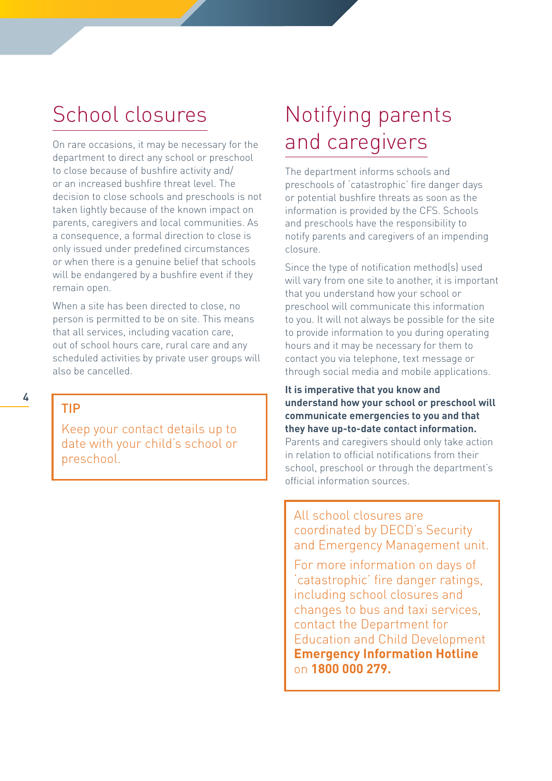### <span id="page-3-0"></span>School closures

On rare occasions, it may be necessary for the department to direct any school or preschool to close because of bushfire activity and/ or an increased bushfire threat level. The decision to close schools and preschools is not taken lightly because of the known impact on parents, caregivers and local communities. As a consequence, a formal direction to close is only issued under predefined circumstances or when there is a genuine belief that schools will be endangered by a bushfire event if they remain open.

When a site has been directed to close, no person is permitted to be on site. This means that all services, including vacation care, out of school hours care, rural care and any scheduled activities by private user groups will also be cancelled.

TIP

Keep your contact details up to date with your child's school or preschool.

### Notifying parents and caregivers

The department informs schools and preschools of 'catastrophic' fire danger days or potential bushfire threats as soon as the information is provided by the CFS. Schools and preschools have the responsibility to notify parents and caregivers of an impending closure.

Since the type of notification method(s) used will vary from one site to another, it is important that you understand how your school or preschool will communicate this information to you. It will not always be possible for the site to provide information to you during operating hours and it may be necessary for them to contact you via telephone, text message or through social media and mobile applications.

**It is imperative that you know and understand how your school or preschool will communicate emergencies to you and that they have up-to-date contact information.** Parents and caregivers should only take action in relation to official notifications from their school, preschool or through the department's official information sources.

All school closures are coordinated by DECD's Security and Emergency Management unit.

For more information on days of 'catastrophic' fire danger ratings, including school closures and changes to bus and taxi services, contact the Department for Education and Child Development **Emergency Information Hotline**  on **1800 000 279.**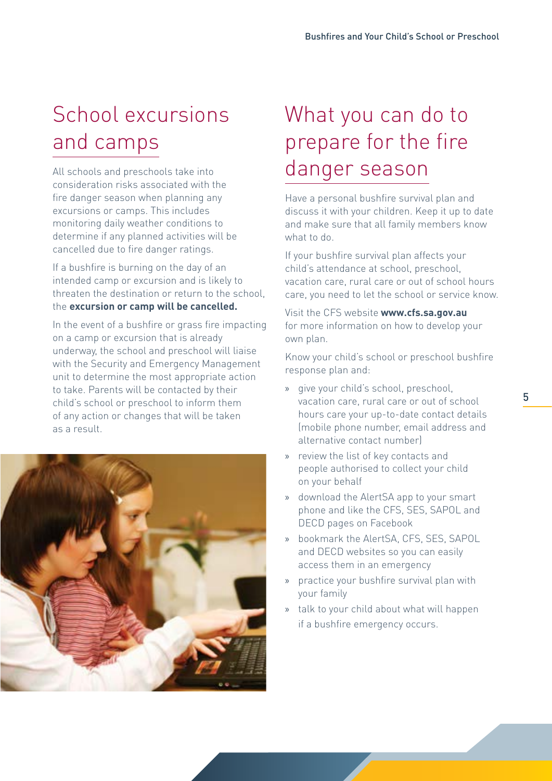# <span id="page-4-0"></span>School excursions and camps

All schools and preschools take into consideration risks associated with the fire danger season when planning any excursions or camps. This includes monitoring daily weather conditions to determine if any planned activities will be cancelled due to fire danger ratings.

If a bushfire is burning on the day of an intended camp or excursion and is likely to threaten the destination or return to the school, the **excursion or camp will be cancelled.**

In the event of a bushfire or grass fire impacting on a camp or excursion that is already underway, the school and preschool will liaise with the Security and Emergency Management unit to determine the most appropriate action to take. Parents will be contacted by their child's school or preschool to inform them of any action or changes that will be taken as a result.



# What you can do to prepare for the fire danger season

Have a personal bushfire survival plan and discuss it with your children. Keep it up to date and make sure that all family members know what to do.

If your bushfire survival plan affects your child's attendance at school, preschool, vacation care, rural care or out of school hours care, you need to let the school or service know.

Visit the CFS website **[www.cfs.sa.gov.au](http://www.cfs.sa.gov.au)** for more information on how to develop your own plan.

Know your child's school or preschool bushfire response plan and:

- » give your child's school, preschool, vacation care, rural care or out of school hours care your up-to-date contact details (mobile phone number, email address and alternative contact number)
- » review the list of key contacts and people authorised to collect your child on your behalf
- » download the AlertSA app to your smart phone and like the CFS, SES, SAPOL and DECD pages on Facebook
- » bookmark the AlertSA, CFS, SES, SAPOL and DECD websites so you can easily access them in an emergency
- » practice your bushfire survival plan with your family
- » talk to your child about what will happen if a bushfire emergency occurs.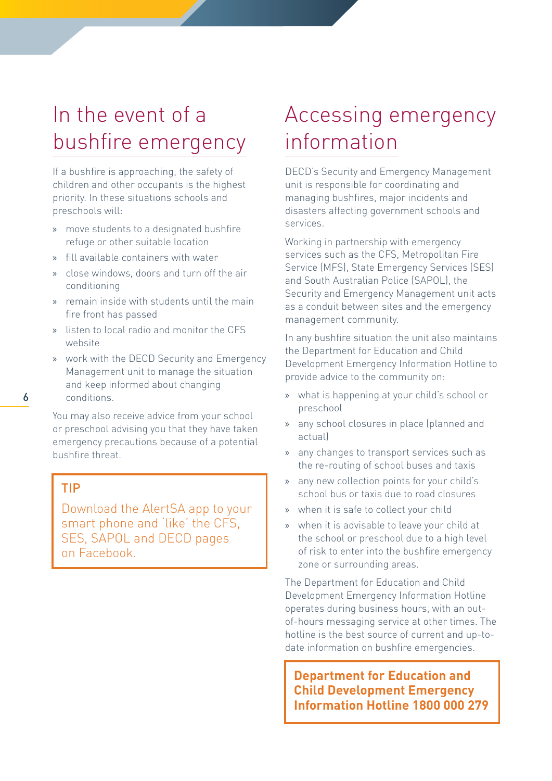### <span id="page-5-0"></span>In the event of a bushfire emergency

If a bushfire is approaching, the safety of children and other occupants is the highest priority. In these situations schools and preschools will:

- » move students to a designated bushfire refuge or other suitable location
- » fill available containers with water
- » close windows, doors and turn off the air conditioning
- » remain inside with students until the main fire front has passed
- » listen to local radio and monitor the CFS website
- » work with the DECD Security and Emergency Management unit to manage the situation and keep informed about changing conditions.
- 

You may also receive advice from your school or preschool advising you that they have taken emergency precautions because of a potential bushfire threat.

#### TIP

Download the AlertSA app to your smart phone and 'like' the CFS, SES, SAPOL and DECD pages on Facebook.

### Accessing emergency information

DECD's Security and Emergency Management unit is responsible for coordinating and managing bushfires, major incidents and disasters affecting government schools and services.

Working in partnership with emergency services such as the CFS, Metropolitan Fire Service (MFS), State Emergency Services (SES) and South Australian Police (SAPOL), the Security and Emergency Management unit acts as a conduit between sites and the emergency management community.

In any bushfire situation the unit also maintains the Department for Education and Child Development Emergency Information Hotline to provide advice to the community on:

- » what is happening at your child's school or preschool
- » any school closures in place (planned and actual)
- » any changes to transport services such as the re-routing of school buses and taxis
- » any new collection points for your child's school bus or taxis due to road closures
- » when it is safe to collect your child
- » when it is advisable to leave your child at the school or preschool due to a high level of risk to enter into the bushfire emergency zone or surrounding areas.

The Department for Education and Child Development Emergency Information Hotline operates during business hours, with an outof-hours messaging service at other times. The hotline is the best source of current and up-todate information on bushfire emergencies.

**Department for Education and Child Development Emergency Information Hotline 1800 000 279**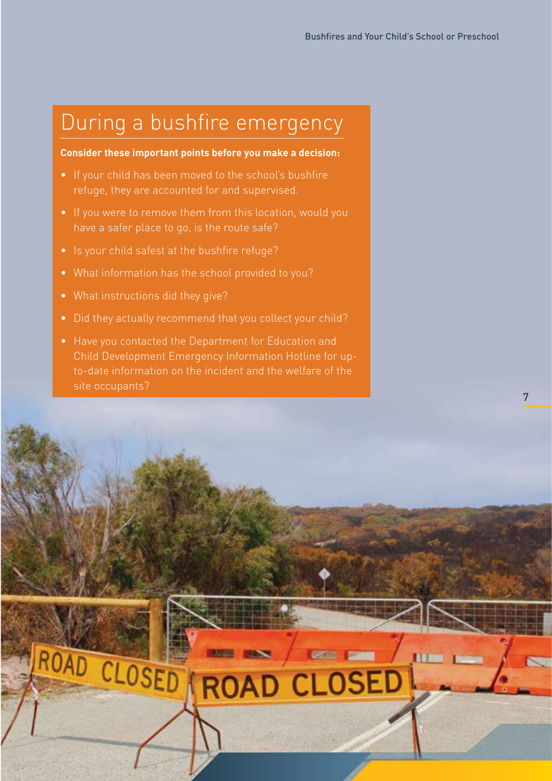### <span id="page-6-0"></span>During a bushfire emergency

#### **Consider these important points before you make a decision:**

- If your child has been moved to the school's bushfire refuge, they are accounted for and supervised.
- If you were to remove them from this location, would you have a safer place to go, is the route safe?
- Is your child safest at the bushfire refuge?
- What information has the school provided to you?
- What instructions did they give?
- Did they actually recommend that you collect your child?
- Have you contacted the Department for Education and Child Development Emergency Information Hotline for upto-date information on the incident and the welfare of the site occupants?

ROAD CLOSED ROAD CLOSED

**THE R**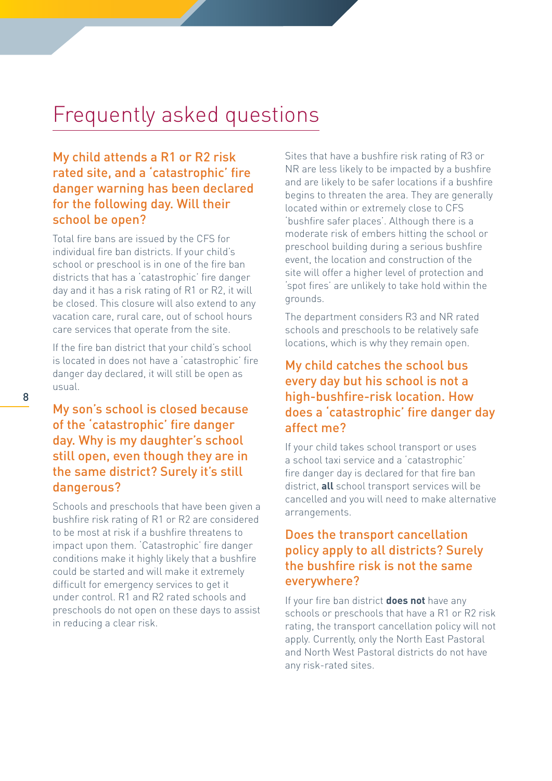### <span id="page-7-0"></span>Frequently asked questions

#### My child attends a R1 or R2 risk rated site, and a 'catastrophic' fire danger warning has been declared for the following day. Will their school be open?

Total fire bans are issued by the CFS for individual fire ban districts. If your child's school or preschool is in one of the fire ban districts that has a 'catastrophic' fire danger day and it has a risk rating of R1 or R2, it will be closed. This closure will also extend to any vacation care, rural care, out of school hours care services that operate from the site.

If the fire ban district that your child's school is located in does not have a 'catastrophic' fire danger day declared, it will still be open as usual.

### My son's school is closed because of the 'catastrophic' fire danger day. Why is my daughter's school still open, even though they are in the same district? Surely it's still dangerous?

Schools and preschools that have been given a bushfire risk rating of R1 or R2 are considered to be most at risk if a bushfire threatens to impact upon them. 'Catastrophic' fire danger conditions make it highly likely that a bushfire could be started and will make it extremely difficult for emergency services to get it under control. R1 and R2 rated schools and preschools do not open on these days to assist in reducing a clear risk.

Sites that have a bushfire risk rating of R3 or NR are less likely to be impacted by a bushfire and are likely to be safer locations if a bushfire begins to threaten the area. They are generally located within or extremely close to CFS 'bushfire safer places'. Although there is a moderate risk of embers hitting the school or preschool building during a serious bushfire event, the location and construction of the site will offer a higher level of protection and 'spot fires' are unlikely to take hold within the grounds.

The department considers R3 and NR rated schools and preschools to be relatively safe locations, which is why they remain open.

#### My child catches the school bus every day but his school is not a high-bushfire-risk location. How does a 'catastrophic' fire danger day affect me?

If your child takes school transport or uses a school taxi service and a 'catastrophic' fire danger day is declared for that fire ban district, **all** school transport services will be cancelled and you will need to make alternative arrangements.

#### Does the transport cancellation policy apply to all districts? Surely the bushfire risk is not the same everywhere?

If your fire ban district **does not** have any schools or preschools that have a R1 or R2 risk rating, the transport cancellation policy will not apply. Currently, only the North East Pastoral and North West Pastoral districts do not have any risk-rated sites.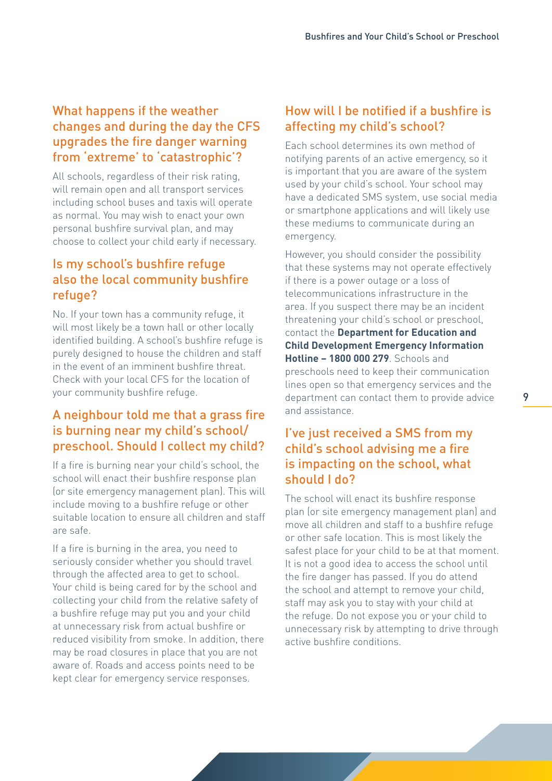#### What happens if the weather changes and during the day the CFS upgrades the fire danger warning from 'extreme' to 'catastrophic'?

All schools, regardless of their risk rating, will remain open and all transport services including school buses and taxis will operate as normal. You may wish to enact your own personal bushfire survival plan, and may choose to collect your child early if necessary.

#### Is my school's bushfire refuge also the local community bushfire refuge?

No. If your town has a community refuge, it will most likely be a town hall or other locally identified building. A school's bushfire refuge is purely designed to house the children and staff in the event of an imminent bushfire threat. Check with your local CFS for the location of your community bushfire refuge.

### A neighbour told me that a grass fire is burning near my child's school/ preschool. Should I collect my child?

If a fire is burning near your child's school, the school will enact their bushfire response plan (or site emergency management plan). This will include moving to a bushfire refuge or other suitable location to ensure all children and staff are safe.

If a fire is burning in the area, you need to seriously consider whether you should travel through the affected area to get to school. Your child is being cared for by the school and collecting your child from the relative safety of a bushfire refuge may put you and your child at unnecessary risk from actual bushfire or reduced visibility from smoke. In addition, there may be road closures in place that you are not aware of. Roads and access points need to be kept clear for emergency service responses.

### How will I be notified if a bushfire is affecting my child's school?

Each school determines its own method of notifying parents of an active emergency, so it is important that you are aware of the system used by your child's school. Your school may have a dedicated SMS system, use social media or smartphone applications and will likely use these mediums to communicate during an emergency.

However, you should consider the possibility that these systems may not operate effectively if there is a power outage or a loss of telecommunications infrastructure in the area. If you suspect there may be an incident threatening your child's school or preschool, contact the **Department for Education and Child Development Emergency Information Hotline – 1800 000 279**. Schools and preschools need to keep their communication lines open so that emergency services and the department can contact them to provide advice and assistance.

#### I've just received a SMS from my child's school advising me a fire is impacting on the school, what should I do?

The school will enact its bushfire response plan (or site emergency management plan) and move all children and staff to a bushfire refuge or other safe location. This is most likely the safest place for your child to be at that moment. It is not a good idea to access the school until the fire danger has passed. If you do attend the school and attempt to remove your child, staff may ask you to stay with your child at the refuge. Do not expose you or your child to unnecessary risk by attempting to drive through active bushfire conditions.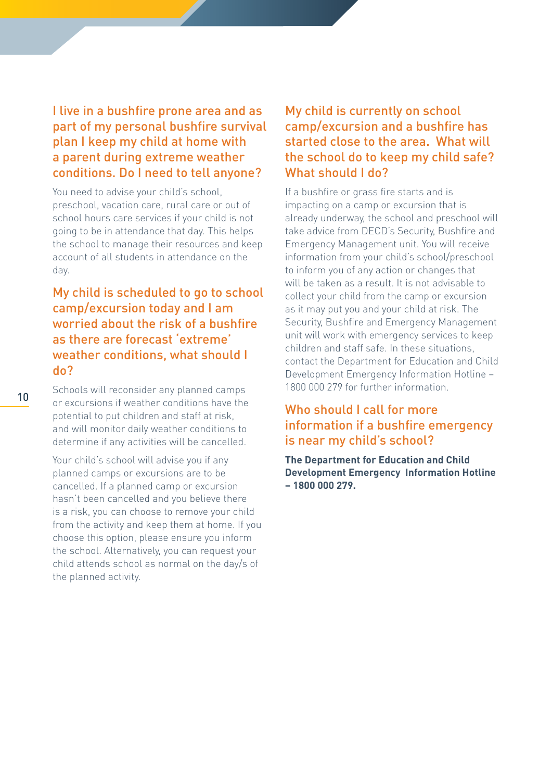#### I live in a bushfire prone area and as part of my personal bushfire survival plan I keep my child at home with a parent during extreme weather conditions. Do I need to tell anyone?

You need to advise your child's school. preschool, vacation care, rural care or out of school hours care services if your child is not going to be in attendance that day. This helps the school to manage their resources and keep account of all students in attendance on the day.

#### My child is scheduled to go to school camp/excursion today and I am worried about the risk of a bushfire as there are forecast 'extreme' weather conditions, what should I do?

Schools will reconsider any planned camps or excursions if weather conditions have the potential to put children and staff at risk, and will monitor daily weather conditions to determine if any activities will be cancelled.

Your child's school will advise you if any planned camps or excursions are to be cancelled. If a planned camp or excursion hasn't been cancelled and you believe there is a risk, you can choose to remove your child from the activity and keep them at home. If you choose this option, please ensure you inform the school. Alternatively, you can request your child attends school as normal on the day/s of the planned activity.

### My child is currently on school camp/excursion and a bushfire has started close to the area. What will the school do to keep my child safe? What should I do?

If a bushfire or grass fire starts and is impacting on a camp or excursion that is already underway, the school and preschool will take advice from DECD's Security, Bushfire and Emergency Management unit. You will receive information from your child's school/preschool to inform you of any action or changes that will be taken as a result. It is not advisable to collect your child from the camp or excursion as it may put you and your child at risk. The Security, Bushfire and Emergency Management unit will work with emergency services to keep children and staff safe. In these situations, contact the Department for Education and Child Development Emergency Information Hotline – 1800 000 279 for further information.

#### Who should I call for more information if a bushfire emergency is near my child's school?

**The Department for Education and Child Development Emergency Information Hotline – 1800 000 279.**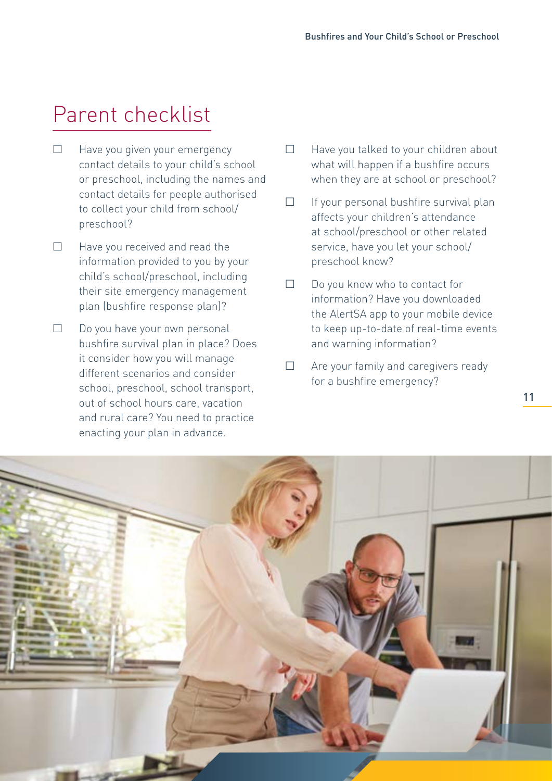### <span id="page-10-0"></span>Parent checklist

- $\Box$  Have you given your emergency contact details to your child's school or preschool, including the names and contact details for people authorised to collect your child from school/ preschool?
- $\Box$  Have you received and read the information provided to you by your child's school/preschool, including their site emergency management plan (bushfire response plan)?
- $\square$  Do you have your own personal bushfire survival plan in place? Does it consider how you will manage different scenarios and consider school, preschool, school transport, out of school hours care, vacation and rural care? You need to practice enacting your plan in advance.
- $\Box$  Have you talked to your children about what will happen if a bushfire occurs when they are at school or preschool?
- $\Box$  If your personal bushfire survival plan affects your children's attendance at school/preschool or other related service, have you let your school/ preschool know?
- $\Box$  Do you know who to contact for information? Have you downloaded the AlertSA app to your mobile device to keep up-to-date of real-time events and warning information?
- $\Box$  Are your family and caregivers ready for a bushfire emergency?